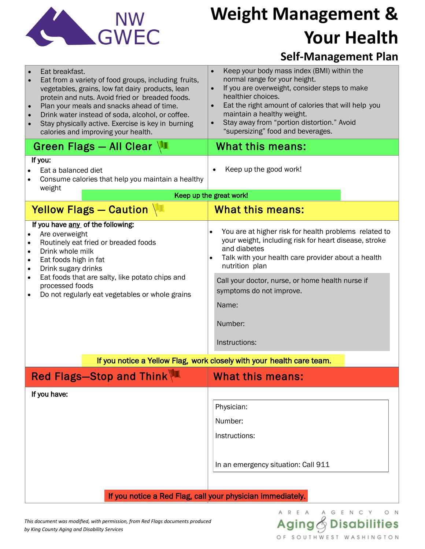

# **Weight Management & Your Health**

## **Self-Management Plan**

| Eat breakfast.<br>Eat from a variety of food groups, including fruits,<br>vegetables, grains, low fat dairy products, lean<br>protein and nuts. Avoid fried or breaded foods.<br>Plan your meals and snacks ahead of time.<br>$\bullet$<br>Drink water instead of soda, alcohol, or coffee.<br>Stay physically active. Exercise is key in burning<br>$\bullet$<br>calories and improving your health. | Keep your body mass index (BMI) within the<br>normal range for your height.<br>If you are overweight, consider steps to make<br>healthier choices.<br>Eat the right amount of calories that will help you<br>maintain a healthy weight.<br>Stay away from "portion distortion." Avoid<br>"supersizing" food and beverages.               |
|-------------------------------------------------------------------------------------------------------------------------------------------------------------------------------------------------------------------------------------------------------------------------------------------------------------------------------------------------------------------------------------------------------|------------------------------------------------------------------------------------------------------------------------------------------------------------------------------------------------------------------------------------------------------------------------------------------------------------------------------------------|
| Green Flags - All Clear                                                                                                                                                                                                                                                                                                                                                                               | What this means:                                                                                                                                                                                                                                                                                                                         |
| If you:<br>Eat a balanced diet<br>Consume calories that help you maintain a healthy<br>weight                                                                                                                                                                                                                                                                                                         | Keep up the good work!                                                                                                                                                                                                                                                                                                                   |
| Keep up the great work!                                                                                                                                                                                                                                                                                                                                                                               |                                                                                                                                                                                                                                                                                                                                          |
| <b>Yellow Flags - Caution <math>\sqrt{2}</math></b>                                                                                                                                                                                                                                                                                                                                                   | <b>What this means:</b>                                                                                                                                                                                                                                                                                                                  |
| If you have any of the following:<br>Are overweight<br>Routinely eat fried or breaded foods<br>Drink whole milk<br>$\bullet$<br>Eat foods high in fat<br>$\bullet$<br>Drink sugary drinks<br>$\bullet$<br>Eat foods that are salty, like potato chips and<br>$\bullet$<br>processed foods<br>Do not regularly eat vegetables or whole grains<br>$\bullet$                                             | You are at higher risk for health problems related to<br>$\bullet$<br>your weight, including risk for heart disease, stroke<br>and diabetes<br>Talk with your health care provider about a health<br>nutrition plan<br>Call your doctor, nurse, or home health nurse if<br>symptoms do not improve.<br>Name:<br>Number:<br>Instructions: |
| If you notice a Yellow Flag, work closely with your health care team.                                                                                                                                                                                                                                                                                                                                 |                                                                                                                                                                                                                                                                                                                                          |
| Red Flags-Stop and Think                                                                                                                                                                                                                                                                                                                                                                              | <b>What this means:</b>                                                                                                                                                                                                                                                                                                                  |
| If you have:                                                                                                                                                                                                                                                                                                                                                                                          | Physician:<br>Number:<br>Instructions:<br>In an emergency situation: Call 911                                                                                                                                                                                                                                                            |

#### If you notice a Red Flag, call your physician immediately.